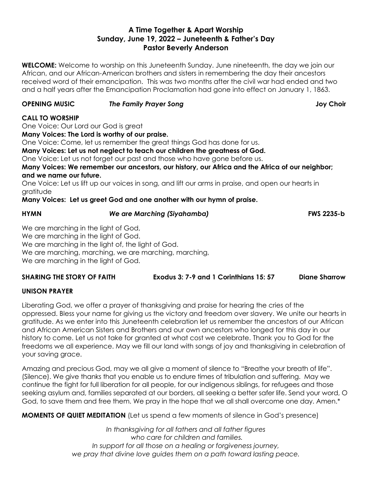# **A Time Together & Apart Worship Sunday, June 19, 2022 – Juneteenth & Father's Day Pastor Beverly Anderson**

**WELCOME:** Welcome to worship on this Juneteenth Sunday. June nineteenth, the day we join our African, and our African-American brothers and sisters in remembering the day their ancestors received word of their emancipation. This was two months after the civil war had ended and two and a half years after the Emancipation Proclamation had gone into effect on January 1, 1863.

## **OPENING MUSIC** *The Family Prayer Song* **Joy Choir**

## **CALL TO WORSHIP**

One Voice: Our Lord our God is great

**Many Voices: The Lord is worthy of our praise.**

One Voice: Come, let us remember the great things God has done for us.

**Many Voices: Let us not neglect to teach our children the greatness of God.**

One Voice: Let us not forget our past and those who have gone before us.

**Many Voices: We remember our ancestors, our history, our Africa and the Africa of our neighbor; and we name our future.**

One Voice: Let us lift up our voices in song, and lift our arms in praise, and open our hearts in gratitude

## **Many Voices: Let us greet God and one another with our hymn of praise.**

### **HYMN** *We are Marching (Siyahamba)* **FWS 2235-b**

We are marching in the light of God, We are marching in the light of God. We are marching in the light of, the light of God. We are marching, marching, we are marching, marching, We are marching in the light of God.

**SHARING THE STORY OF FAITH Exodus 3: 7-9 and 1 Corinthians 15: 57 Diane Sharrow**

# **UNISON PRAYER**

Liberating God, we offer a prayer of thanksgiving and praise for hearing the cries of the oppressed. Bless your name for giving us the victory and freedom over slavery. We unite our hearts in gratitude. As we enter into this Juneteenth celebration let us remember the ancestors of our African and African American Sisters and Brothers and our own ancestors who longed for this day in our history to come. Let us not take for granted at what cost we celebrate. Thank you to God for the freedoms we all experience. May we fill our land with songs of joy and thanksgiving in celebration of your saving grace.

Amazing and precious God, may we all give a moment of silence to "Breathe your breath of life". (Silence). We give thanks that you enable us to endure times of tribulation and suffering. May we continue the fight for full liberation for all people, for our indigenous siblings, for refugees and those seeking asylum and, families separated at our borders, all seeking a better safer life. Send your word, O God, to save them and free them. We pray in the hope that we all shall overcome one day. Amen.\*

**MOMENTS OF QUIET MEDITATION** (Let us spend a few moments of silence in God's presence)

*In thanksgiving for all fathers and all father figures who care for children and families. In support for all those on a healing or forgiveness journey, we pray that divine love guides them on a path toward lasting peace.*